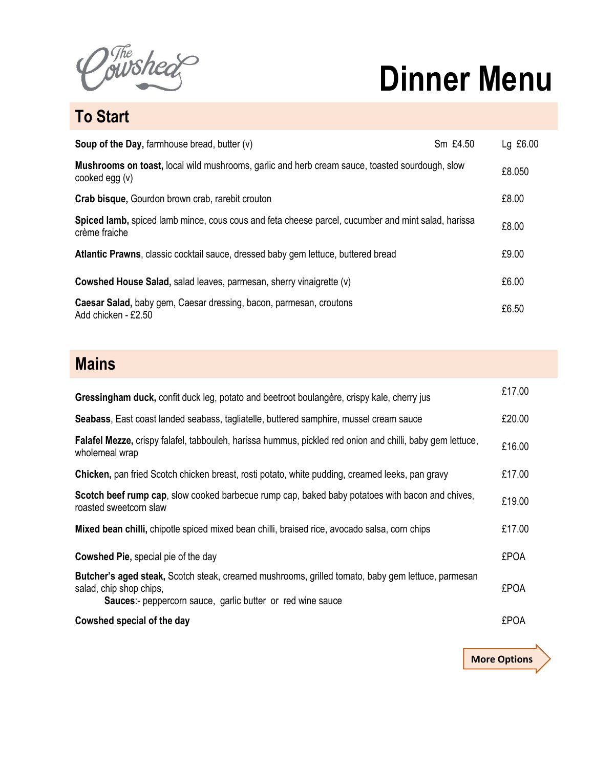The sheer

## **Dinner Menu**

**More Options**

**To Start**

| <b>Soup of the Day, farmhouse bread, butter <math>(v)</math></b>                                                    | Sm £4.50 | Lg £6.00 |
|---------------------------------------------------------------------------------------------------------------------|----------|----------|
| Mushrooms on toast, local wild mushrooms, garlic and herb cream sauce, toasted sourdough, slow<br>cooked egg $(v)$  |          | £8.050   |
| Crab bisque, Gourdon brown crab, rarebit crouton                                                                    |          | £8.00    |
| Spiced lamb, spiced lamb mince, cous cous and feta cheese parcel, cucumber and mint salad, harissa<br>crème fraiche |          | £8.00    |
| Atlantic Prawns, classic cocktail sauce, dressed baby gem lettuce, buttered bread                                   |          | £9.00    |
| <b>Cowshed House Salad, salad leaves, parmesan, sherry vinaigrette (v)</b>                                          |          | £6.00    |
| Caesar Salad, baby gem, Caesar dressing, bacon, parmesan, croutons<br>Add chicken - £2.50                           |          | £6.50    |

## **Mains**

| Gressingham duck, confit duck leg, potato and beetroot boulangère, crispy kale, cherry jus                                                                                                        | £17.00      |
|---------------------------------------------------------------------------------------------------------------------------------------------------------------------------------------------------|-------------|
| Seabass, East coast landed seabass, tagliatelle, buttered samphire, mussel cream sauce                                                                                                            | £20.00      |
| Falafel Mezze, crispy falafel, tabbouleh, harissa hummus, pickled red onion and chilli, baby gem lettuce,<br>wholemeal wrap                                                                       | £16.00      |
| <b>Chicken, pan fried Scotch chicken breast, rosti potato, white pudding, creamed leeks, pan gravy</b>                                                                                            | £17.00      |
| Scotch beef rump cap, slow cooked barbecue rump cap, baked baby potatoes with bacon and chives,<br>roasted sweetcorn slaw                                                                         | £19.00      |
| Mixed bean chilli, chipotle spiced mixed bean chilli, braised rice, avocado salsa, corn chips                                                                                                     | £17.00      |
| <b>Cowshed Pie, special pie of the day</b>                                                                                                                                                        | <b>£POA</b> |
| Butcher's aged steak, Scotch steak, creamed mushrooms, grilled tomato, baby gem lettuce, parmesan<br>salad, chip shop chips,<br><b>Sauces:-</b> peppercorn sauce, garlic butter or red wine sauce | £POA        |
| Cowshed special of the day                                                                                                                                                                        | <b>£POA</b> |